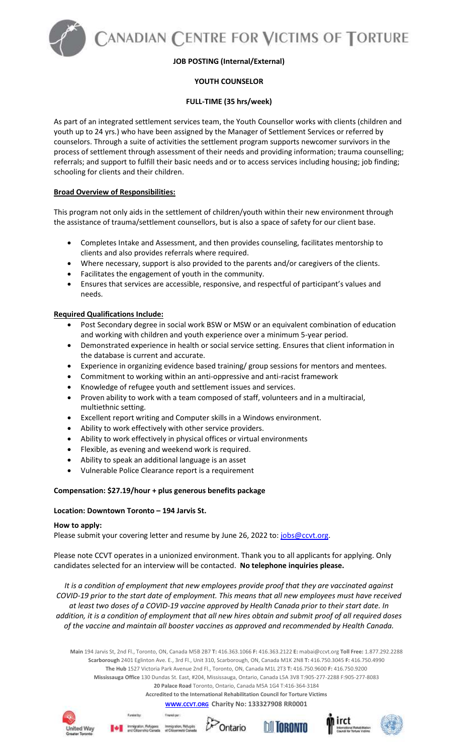ANADIAN CENTRE FOR VICTIMS OF TORTURE

## **JOB POSTING (Internal/External)**

# **YOUTH COUNSELOR**

## **FULL-TIME (35 hrs/week)**

As part of an integrated settlement services team, the Youth Counsellor works with clients (children and youth up to 24 yrs.) who have been assigned by the Manager of Settlement Services or referred by counselors. Through a suite of activities the settlement program supports newcomer survivors in the process of settlement through assessment of their needs and providing information; trauma counselling; referrals; and support to fulfill their basic needs and or to access services including housing; job finding; schooling for clients and their children.

## **Broad Overview of Responsibilities:**

This program not only aids in the settlement of children/youth within their new environment through the assistance of trauma/settlement counsellors, but is also a space of safety for our client base.

- Completes Intake and Assessment, and then provides counseling, facilitates mentorship to clients and also provides referrals where required.
- Where necessary, support is also provided to the parents and/or caregivers of the clients.
- Facilitates the engagement of youth in the community.
- Ensures that services are accessible, responsive, and respectful of participant's values and needs.

### **Required Qualifications Include:**

- Post Secondary degree in social work BSW or MSW or an equivalent combination of education and working with children and youth experience over a minimum 5-year period.
- Demonstrated experience in health or social service setting. Ensures that client information in the database is current and accurate.
- Experience in organizing evidence based training/ group sessions for mentors and mentees.
- Commitment to working within an anti-oppressive and anti-racist framework
- Knowledge of refugee youth and settlement issues and services.
- Proven ability to work with a team composed of staff, volunteers and in a multiracial, multiethnic setting.
- Excellent report writing and Computer skills in a Windows environment.
- Ability to work effectively with other service providers.
- Ability to work effectively in physical offices or virtual environments
- Flexible, as evening and weekend work is required.
- Ability to speak an additional language is an asset
- Vulnerable Police Clearance report is a requirement

### **Compensation: \$27.19/hour + plus generous benefits package**

### **Location: Downtown Toronto – 194 Jarvis St.**

Family by:

### **How to apply:**

Please submit your covering letter and resume by June 26, 2022 to: [jobs@ccvt.org.](mailto:jobs@ccvt.org)

Please note CCVT operates in a unionized environment. Thank you to all applicants for applying. Only candidates selected for an interview will be contacted. **No telephone inquiries please.** 

*It is a condition of employment that new employees provide proof that they are vaccinated against COVID-19 prior to the start date of employment. This means that all new employees must have received at least two doses of a COVID-19 vaccine approved by Health Canada prior to their start date. In addition, it is a condition of employment that all new hires obtain and submit proof of all required doses of the vaccine and maintain all booster vaccines as approved and recommended by Health Canada.*

**Main** 194 Jarvis St, 2nd Fl., Toronto, ON, Canada M5B 2B7 **T:** 416.363.1066 **F:** 416.363.2122 **E:** mabai@ccvt.org **Toll Free:** 1.877.292.2288 **Scarborough** 2401 Eglinton Ave. E., 3rd Fl., Unit 310, Scarborough, ON, Canada M1K 2N8 **T:** 416.750.3045 **F:** 416.750.4990 **The Hub** 1527 Victoria Park Avenue 2nd Fl., Toronto, ON, Canada M1L 2T3 **T:** 416.750.9600 **F:** 416.750.9200 **Mississauga Office** 130 Dundas St. East, #204, Mississauga, Ontario, Canada L5A 3V8 T:905-277-2288 F:905-277-8083 **20 Palace Road** Toronto, Ontario, Canada M5A 1G4 T:416-364-3184 **Accredited to the International Rehabilitation Council for Torture Victims**

# **[WWW.CCVT.ORG](http://www.ccvt.org/) Charity No: 133327908 RR0001**

Frankling: